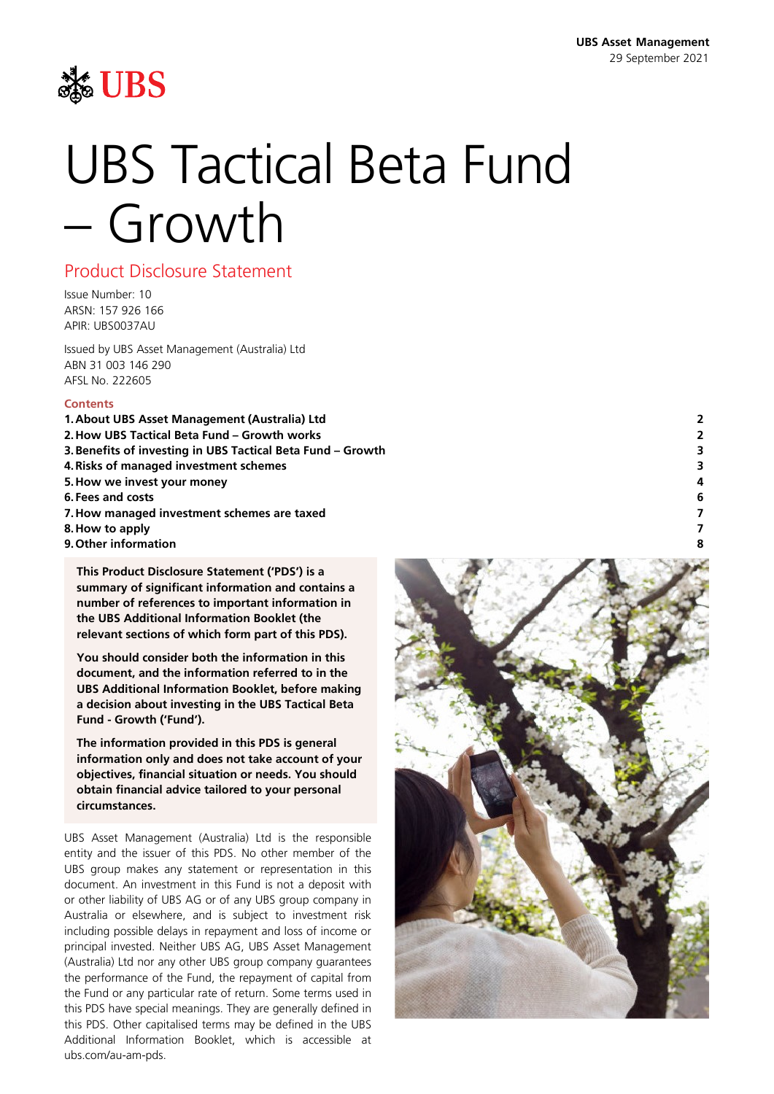

# UBS Tactical Beta Fund – Growth

### Product Disclosure Statement

Issue Number: 10 ARSN: 157 926 166 APIR: UBS0037AU

Issued by UBS Asset Management (Australia) Ltd ABN 31 003 146 290 AFSL No. 222605

#### **Contents**

- **1[.About UBS Asset Management](#page-1-0) (Australia) Ltd 2**
- **2[.How UBS Tactical Beta Fund –](#page-1-1) Growth works 2**
- **3[.Benefits of investing in UBS Tactical Beta Fund](#page-2-0) – Growth 3**
- **4[.Risks of managed investment schemes](#page-2-1) 3**
- **5[.How we invest](#page-3-0) your money 4**
- **6[.Fees and costs](#page-5-0) 6**
- **7[.How managed investment schemes are](#page-6-0) taxed 7**
- **8[.How to apply](#page-6-1) 7**
- **9[.Other information](#page-7-0) 8**

**This Product Disclosure Statement ('PDS') is a summary of significant information and contains a number of references to important information in the UBS Additional Information Booklet (the relevant sections of which form part of this PDS).**

**You should consider both the information in this document, and the information referred to in the UBS Additional Information Booklet, before making a decision about investing in the UBS Tactical Beta Fund - Growth ('Fund').**

**The information provided in this PDS is general information only and does not take account of your objectives, financial situation or needs. You should obtain financial advice tailored to your personal circumstances.**

UBS Asset Management (Australia) Ltd is the responsible entity and the issuer of this PDS. No other member of the UBS group makes any statement or representation in this document. An investment in this Fund is not a deposit with or other liability of UBS AG or of any UBS group company in Australia or elsewhere, and is subject to investment risk including possible delays in repayment and loss of income or principal invested. Neither UBS AG, UBS Asset Management (Australia) Ltd nor any other UBS group company guarantees the performance of the Fund, the repayment of capital from the Fund or any particular rate of return. Some terms used in this PDS have special meanings. They are generally defined in this PDS. Other capitalised terms may be defined in the UBS Additional Information Booklet, which is accessible at ubs.com/au-am-pds.

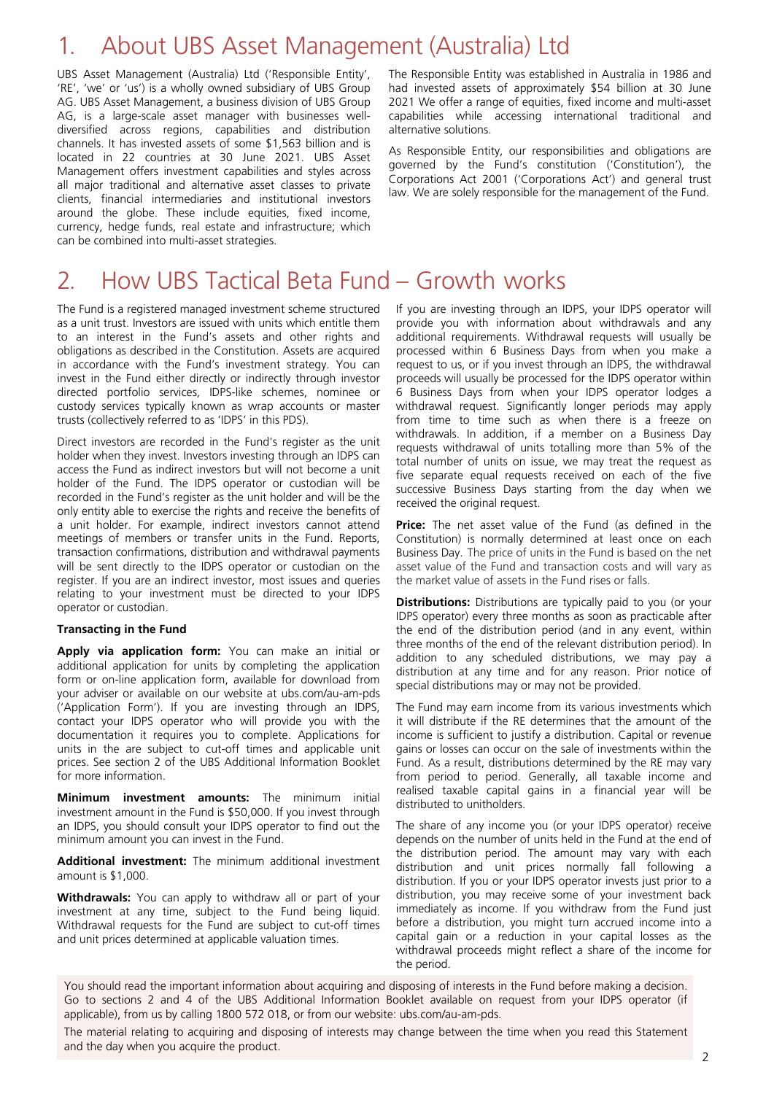### <span id="page-1-0"></span>1. About UBS Asset Management (Australia) Ltd

UBS Asset Management (Australia) Ltd ('Responsible Entity', 'RE', 'we' or 'us') is a wholly owned subsidiary of UBS Group AG. UBS Asset Management, a business division of UBS Group AG, is a large-scale asset manager with businesses welldiversified across regions, capabilities and distribution channels. It has invested assets of some \$1,563 billion and is located in 22 countries at 30 June 2021. UBS Asset Management offers investment capabilities and styles across all major traditional and alternative asset classes to private clients, financial intermediaries and institutional investors around the globe. These include equities, fixed income, currency, hedge funds, real estate and infrastructure; which can be combined into multi-asset strategies.

The Responsible Entity was established in Australia in 1986 and had invested assets of approximately \$54 billion at 30 June 2021 We offer a range of equities, fixed income and multi-asset capabilities while accessing international traditional and alternative solutions.

As Responsible Entity, our responsibilities and obligations are governed by the Fund's constitution ('Constitution'), the Corporations Act 2001 ('Corporations Act') and general trust law. We are solely responsible for the management of the Fund.

### <span id="page-1-1"></span>2. How UBS Tactical Beta Fund – Growth works

The Fund is a registered managed investment scheme structured as a unit trust. Investors are issued with units which entitle them to an interest in the Fund's assets and other rights and obligations as described in the Constitution. Assets are acquired in accordance with the Fund's investment strategy. You can invest in the Fund either directly or indirectly through investor directed portfolio services, IDPS-like schemes, nominee or custody services typically known as wrap accounts or master trusts (collectively referred to as 'IDPS' in this PDS).

Direct investors are recorded in the Fund's register as the unit holder when they invest. Investors investing through an IDPS can access the Fund as indirect investors but will not become a unit holder of the Fund. The IDPS operator or custodian will be recorded in the Fund's register as the unit holder and will be the only entity able to exercise the rights and receive the benefits of a unit holder. For example, indirect investors cannot attend meetings of members or transfer units in the Fund. Reports, transaction confirmations, distribution and withdrawal payments will be sent directly to the IDPS operator or custodian on the register. If you are an indirect investor, most issues and queries relating to your investment must be directed to your IDPS operator or custodian.

#### **Transacting in the Fund**

**Apply via application form:** You can make an initial or additional application for units by completing the application form or on-line application form, available for download from your adviser or available on our website at ubs.com/au-am-pds ('Application Form'). If you are investing through an IDPS, contact your IDPS operator who will provide you with the documentation it requires you to complete. Applications for units in the are subject to cut-off times and applicable unit prices. See section 2 of the UBS Additional Information Booklet for more information.

**Minimum investment amounts:** The minimum initial investment amount in the Fund is \$50,000. If you invest through an IDPS, you should consult your IDPS operator to find out the minimum amount you can invest in the Fund.

**Additional investment:** The minimum additional investment amount is \$1,000.

**Withdrawals:** You can apply to withdraw all or part of your investment at any time, subject to the Fund being liquid. Withdrawal requests for the Fund are subject to cut-off times and unit prices determined at applicable valuation times.

If you are investing through an IDPS, your IDPS operator will provide you with information about withdrawals and any additional requirements. Withdrawal requests will usually be processed within 6 Business Days from when you make a request to us, or if you invest through an IDPS, the withdrawal proceeds will usually be processed for the IDPS operator within 6 Business Days from when your IDPS operator lodges a withdrawal request. Significantly longer periods may apply from time to time such as when there is a freeze on withdrawals. In addition, if a member on a Business Day requests withdrawal of units totalling more than 5% of the total number of units on issue, we may treat the request as five separate equal requests received on each of the five successive Business Days starting from the day when we received the original request.

**Price:** The net asset value of the Fund (as defined in the Constitution) is normally determined at least once on each Business Day. The price of units in the Fund is based on the net asset value of the Fund and transaction costs and will vary as the market value of assets in the Fund rises or falls.

**Distributions:** Distributions are typically paid to you (or your IDPS operator) every three months as soon as practicable after the end of the distribution period (and in any event, within three months of the end of the relevant distribution period). In addition to any scheduled distributions, we may pay a distribution at any time and for any reason. Prior notice of special distributions may or may not be provided.

The Fund may earn income from its various investments which it will distribute if the RE determines that the amount of the income is sufficient to justify a distribution. Capital or revenue gains or losses can occur on the sale of investments within the Fund. As a result, distributions determined by the RE may vary from period to period. Generally, all taxable income and realised taxable capital gains in a financial year will be distributed to unitholders.

The share of any income you (or your IDPS operator) receive depends on the number of units held in the Fund at the end of the distribution period. The amount may vary with each distribution and unit prices normally fall following a distribution. If you or your IDPS operator invests just prior to a distribution, you may receive some of your investment back immediately as income. If you withdraw from the Fund just before a distribution, you might turn accrued income into a capital gain or a reduction in your capital losses as the withdrawal proceeds might reflect a share of the income for the period.

You should read the important information about acquiring and disposing of interests in the Fund before making a decision. Go to sections 2 and 4 of the UBS Additional Information Booklet available on request from your IDPS operator (if applicable), from us by calling 1800 572 018, or from our website: ubs.com/au-am-pds.

The material relating to acquiring and disposing of interests may change between the time when you read this Statement and the day when you acquire the product.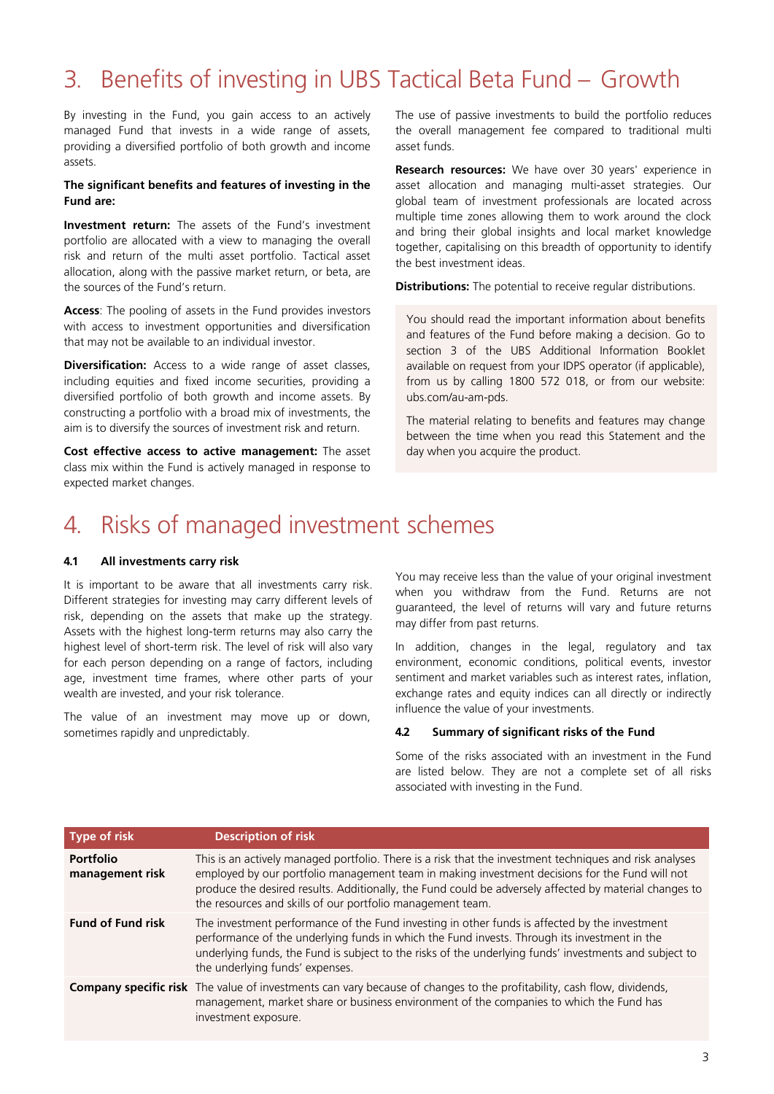## <span id="page-2-0"></span>3. Benefits of investing in UBS Tactical Beta Fund – Growth

By investing in the Fund, you gain access to an actively managed Fund that invests in a wide range of assets, providing a diversified portfolio of both growth and income assets.

#### **The significant benefits and features of investing in the Fund are:**

**Investment return:** The assets of the Fund's investment portfolio are allocated with a view to managing the overall risk and return of the multi asset portfolio. Tactical asset allocation, along with the passive market return, or beta, are the sources of the Fund's return.

**Access**: The pooling of assets in the Fund provides investors with access to investment opportunities and diversification that may not be available to an individual investor.

**Diversification:** Access to a wide range of asset classes, including equities and fixed income securities, providing a diversified portfolio of both growth and income assets. By constructing a portfolio with a broad mix of investments, the aim is to diversify the sources of investment risk and return.

**Cost effective access to active management:** The asset class mix within the Fund is actively managed in response to expected market changes.

The use of passive investments to build the portfolio reduces the overall management fee compared to traditional multi asset funds.

**Research resources:** We have over 30 years' experience in asset allocation and managing multi-asset strategies. Our global team of investment professionals are located across multiple time zones allowing them to work around the clock and bring their global insights and local market knowledge together, capitalising on this breadth of opportunity to identify the best investment ideas.

**Distributions:** The potential to receive regular distributions.

You should read the important information about benefits and features of the Fund before making a decision. Go to section 3 of the UBS Additional Information Booklet available on request from your IDPS operator (if applicable), from us by calling 1800 572 018, or from our website: ubs.com/au-am-pds.

The material relating to benefits and features may change between the time when you read this Statement and the day when you acquire the product.

### <span id="page-2-1"></span>4. Risks of managed investment schemes

#### **4.1 All investments carry risk**

It is important to be aware that all investments carry risk. Different strategies for investing may carry different levels of risk, depending on the assets that make up the strategy. Assets with the highest long-term returns may also carry the highest level of short-term risk. The level of risk will also vary for each person depending on a range of factors, including age, investment time frames, where other parts of your wealth are invested, and your risk tolerance.

The value of an investment may move up or down, sometimes rapidly and unpredictably.

You may receive less than the value of your original investment when you withdraw from the Fund. Returns are not guaranteed, the level of returns will vary and future returns may differ from past returns.

In addition, changes in the legal, regulatory and tax environment, economic conditions, political events, investor sentiment and market variables such as interest rates, inflation, exchange rates and equity indices can all directly or indirectly influence the value of your investments.

#### **4.2 Summary of significant risks of the Fund**

Some of the risks associated with an investment in the Fund are listed below. They are not a complete set of all risks associated with investing in the Fund.

| Type of risk                        | <b>Description of risk</b>                                                                                                                                                                                                                                                                                                                                                        |
|-------------------------------------|-----------------------------------------------------------------------------------------------------------------------------------------------------------------------------------------------------------------------------------------------------------------------------------------------------------------------------------------------------------------------------------|
| <b>Portfolio</b><br>management risk | This is an actively managed portfolio. There is a risk that the investment techniques and risk analyses<br>employed by our portfolio management team in making investment decisions for the Fund will not<br>produce the desired results. Additionally, the Fund could be adversely affected by material changes to<br>the resources and skills of our portfolio management team. |
| <b>Fund of Fund risk</b>            | The investment performance of the Fund investing in other funds is affected by the investment<br>performance of the underlying funds in which the Fund invests. Through its investment in the<br>underlying funds, the Fund is subject to the risks of the underlying funds' investments and subject to<br>the underlying funds' expenses.                                        |
|                                     | <b>Company specific risk</b> The value of investments can vary because of changes to the profitability, cash flow, dividends,<br>management, market share or business environment of the companies to which the Fund has<br>investment exposure.                                                                                                                                  |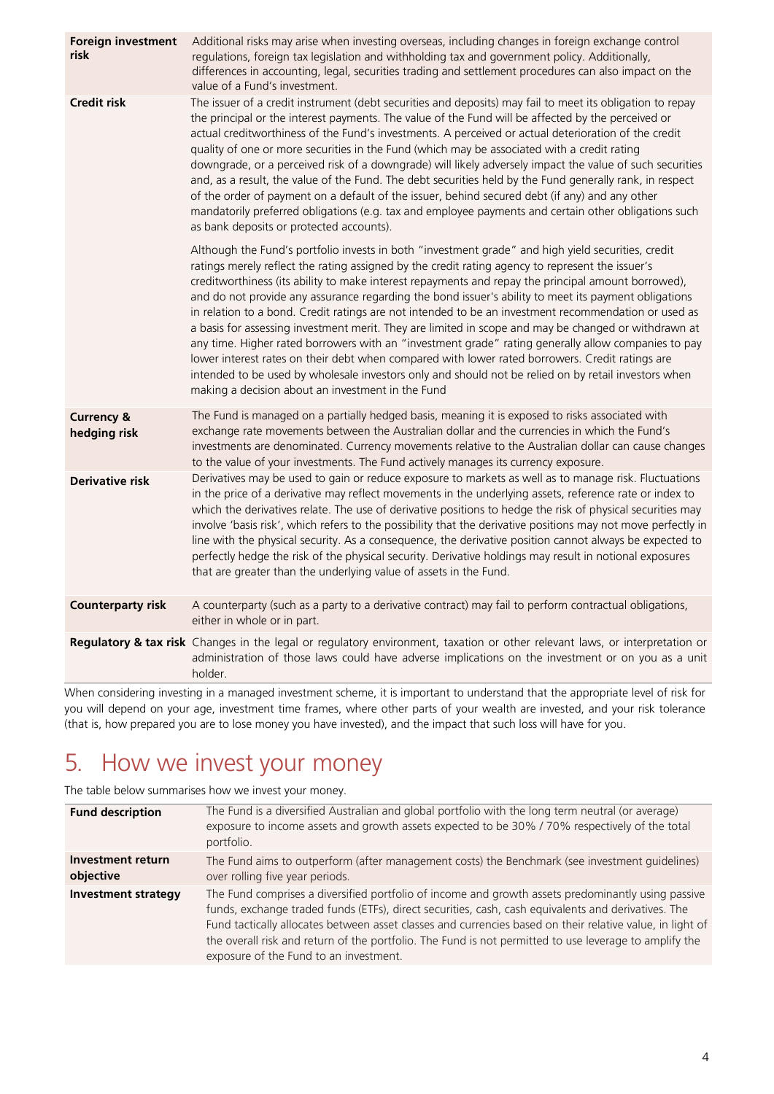| <b>Foreign investment</b><br>risk     | Additional risks may arise when investing overseas, including changes in foreign exchange control<br>regulations, foreign tax legislation and withholding tax and government policy. Additionally,<br>differences in accounting, legal, securities trading and settlement procedures can also impact on the<br>value of a Fund's investment.                                                                                                                                                                                                                                                                                                                                                                                                                                                                                                                                                                                                                                                                 |
|---------------------------------------|--------------------------------------------------------------------------------------------------------------------------------------------------------------------------------------------------------------------------------------------------------------------------------------------------------------------------------------------------------------------------------------------------------------------------------------------------------------------------------------------------------------------------------------------------------------------------------------------------------------------------------------------------------------------------------------------------------------------------------------------------------------------------------------------------------------------------------------------------------------------------------------------------------------------------------------------------------------------------------------------------------------|
| <b>Credit risk</b>                    | The issuer of a credit instrument (debt securities and deposits) may fail to meet its obligation to repay<br>the principal or the interest payments. The value of the Fund will be affected by the perceived or<br>actual creditworthiness of the Fund's investments. A perceived or actual deterioration of the credit<br>quality of one or more securities in the Fund (which may be associated with a credit rating<br>downgrade, or a perceived risk of a downgrade) will likely adversely impact the value of such securities<br>and, as a result, the value of the Fund. The debt securities held by the Fund generally rank, in respect<br>of the order of payment on a default of the issuer, behind secured debt (if any) and any other<br>mandatorily preferred obligations (e.g. tax and employee payments and certain other obligations such<br>as bank deposits or protected accounts).                                                                                                         |
|                                       | Although the Fund's portfolio invests in both "investment grade" and high yield securities, credit<br>ratings merely reflect the rating assigned by the credit rating agency to represent the issuer's<br>creditworthiness (its ability to make interest repayments and repay the principal amount borrowed),<br>and do not provide any assurance regarding the bond issuer's ability to meet its payment obligations<br>in relation to a bond. Credit ratings are not intended to be an investment recommendation or used as<br>a basis for assessing investment merit. They are limited in scope and may be changed or withdrawn at<br>any time. Higher rated borrowers with an "investment grade" rating generally allow companies to pay<br>lower interest rates on their debt when compared with lower rated borrowers. Credit ratings are<br>intended to be used by wholesale investors only and should not be relied on by retail investors when<br>making a decision about an investment in the Fund |
| <b>Currency &amp;</b><br>hedging risk | The Fund is managed on a partially hedged basis, meaning it is exposed to risks associated with<br>exchange rate movements between the Australian dollar and the currencies in which the Fund's<br>investments are denominated. Currency movements relative to the Australian dollar can cause changes<br>to the value of your investments. The Fund actively manages its currency exposure.                                                                                                                                                                                                                                                                                                                                                                                                                                                                                                                                                                                                                 |
| <b>Derivative risk</b>                | Derivatives may be used to gain or reduce exposure to markets as well as to manage risk. Fluctuations<br>in the price of a derivative may reflect movements in the underlying assets, reference rate or index to<br>which the derivatives relate. The use of derivative positions to hedge the risk of physical securities may<br>involve 'basis risk', which refers to the possibility that the derivative positions may not move perfectly in<br>line with the physical security. As a consequence, the derivative position cannot always be expected to<br>perfectly hedge the risk of the physical security. Derivative holdings may result in notional exposures<br>that are greater than the underlying value of assets in the Fund.                                                                                                                                                                                                                                                                   |
| <b>Counterparty risk</b>              | A counterparty (such as a party to a derivative contract) may fail to perform contractual obligations,<br>either in whole or in part.                                                                                                                                                                                                                                                                                                                                                                                                                                                                                                                                                                                                                                                                                                                                                                                                                                                                        |
|                                       | Regulatory & tax risk Changes in the legal or regulatory environment, taxation or other relevant laws, or interpretation or<br>administration of those laws could have adverse implications on the investment or on you as a unit<br>holder.                                                                                                                                                                                                                                                                                                                                                                                                                                                                                                                                                                                                                                                                                                                                                                 |

When considering investing in a managed investment scheme, it is important to understand that the appropriate level of risk for you will depend on your age, investment time frames, where other parts of your wealth are invested, and your risk tolerance (that is, how prepared you are to lose money you have invested), and the impact that such loss will have for you.

### <span id="page-3-0"></span>5. How we invest your money

The table below summarises how we invest your money.

| The Fund is a diversified Australian and global portfolio with the long term neutral (or average)<br><b>Fund description</b><br>exposure to income assets and growth assets expected to be 30% / 70% respectively of the total<br>portfolio.<br>Investment return<br>The Fund aims to outperform (after management costs) the Benchmark (see investment guidelines)<br>objective<br>over rolling five year periods.<br>The Fund comprises a diversified portfolio of income and growth assets predominantly using passive<br><b>Investment strategy</b><br>funds, exchange traded funds (ETFs), direct securities, cash, cash equivalents and derivatives. The<br>the overall risk and return of the portfolio. The Fund is not permitted to use leverage to amplify the<br>exposure of the Fund to an investment. |                                                                                                           |
|--------------------------------------------------------------------------------------------------------------------------------------------------------------------------------------------------------------------------------------------------------------------------------------------------------------------------------------------------------------------------------------------------------------------------------------------------------------------------------------------------------------------------------------------------------------------------------------------------------------------------------------------------------------------------------------------------------------------------------------------------------------------------------------------------------------------|-----------------------------------------------------------------------------------------------------------|
|                                                                                                                                                                                                                                                                                                                                                                                                                                                                                                                                                                                                                                                                                                                                                                                                                    |                                                                                                           |
|                                                                                                                                                                                                                                                                                                                                                                                                                                                                                                                                                                                                                                                                                                                                                                                                                    |                                                                                                           |
|                                                                                                                                                                                                                                                                                                                                                                                                                                                                                                                                                                                                                                                                                                                                                                                                                    | Fund tactically allocates between asset classes and currencies based on their relative value, in light of |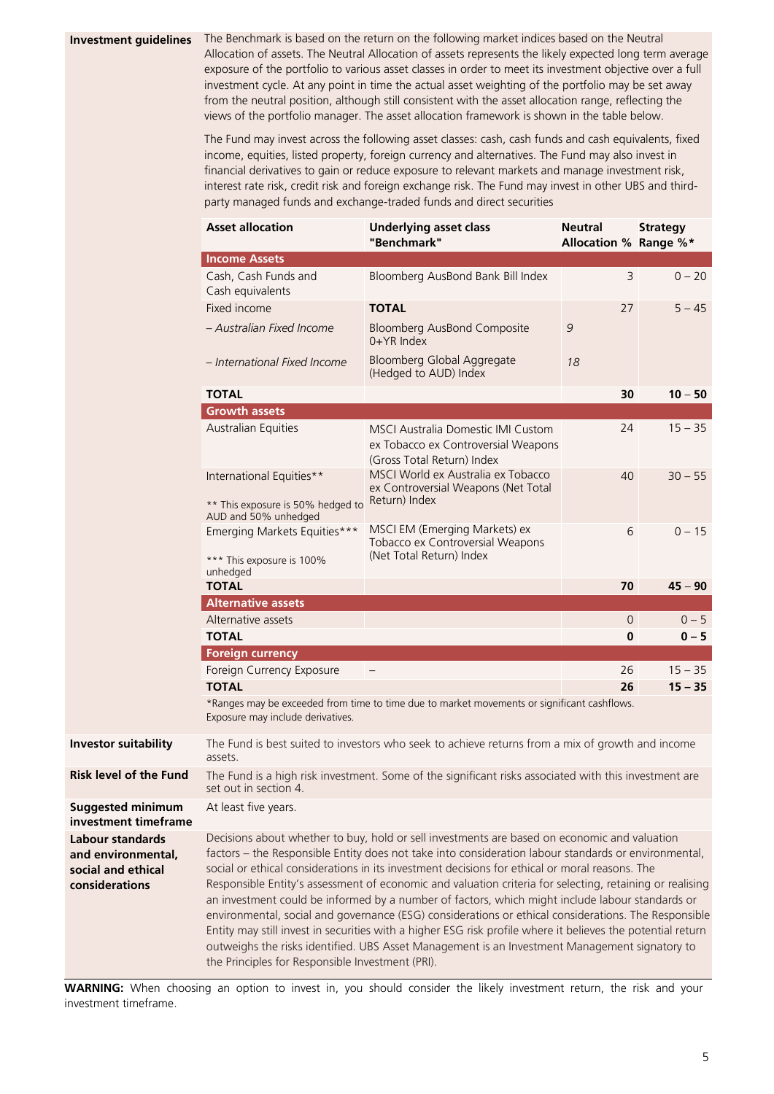**Investment guidelines** The Benchmark is based on the return on the following market indices based on the Neutral Allocation of assets. The Neutral Allocation of assets represents the likely expected long term average exposure of the portfolio to various asset classes in order to meet its investment objective over a full investment cycle. At any point in time the actual asset weighting of the portfolio may be set away from the neutral position, although still consistent with the asset allocation range, reflecting the views of the portfolio manager. The asset allocation framework is shown in the table below.

> The Fund may invest across the following asset classes: cash, cash funds and cash equivalents, fixed income, equities, listed property, foreign currency and alternatives. The Fund may also invest in financial derivatives to gain or reduce exposure to relevant markets and manage investment risk, interest rate risk, credit risk and foreign exchange risk. The Fund may invest in other UBS and thirdparty managed funds and exchange-traded funds and direct securities

|                                                                                       | <b>Asset allocation</b>                                                                                                                                                                                                                                                                                                                                                                                                                                                                                                                                                                                                                                                                                                                                                                                                                                                                           | <b>Underlying asset class</b><br>"Benchmark"                                                            | <b>Neutral</b><br>Allocation % Range %* | <b>Strategy</b> |
|---------------------------------------------------------------------------------------|---------------------------------------------------------------------------------------------------------------------------------------------------------------------------------------------------------------------------------------------------------------------------------------------------------------------------------------------------------------------------------------------------------------------------------------------------------------------------------------------------------------------------------------------------------------------------------------------------------------------------------------------------------------------------------------------------------------------------------------------------------------------------------------------------------------------------------------------------------------------------------------------------|---------------------------------------------------------------------------------------------------------|-----------------------------------------|-----------------|
|                                                                                       | <b>Income Assets</b>                                                                                                                                                                                                                                                                                                                                                                                                                                                                                                                                                                                                                                                                                                                                                                                                                                                                              |                                                                                                         |                                         |                 |
|                                                                                       | Cash, Cash Funds and<br>Cash equivalents                                                                                                                                                                                                                                                                                                                                                                                                                                                                                                                                                                                                                                                                                                                                                                                                                                                          | Bloomberg AusBond Bank Bill Index                                                                       | 3                                       | $0 - 20$        |
|                                                                                       | Fixed income                                                                                                                                                                                                                                                                                                                                                                                                                                                                                                                                                                                                                                                                                                                                                                                                                                                                                      | <b>TOTAL</b>                                                                                            | 27                                      | $5 - 45$        |
|                                                                                       | - Australian Fixed Income                                                                                                                                                                                                                                                                                                                                                                                                                                                                                                                                                                                                                                                                                                                                                                                                                                                                         | <b>Bloomberg AusBond Composite</b><br>0+YR Index                                                        | 9                                       |                 |
|                                                                                       | - International Fixed Income                                                                                                                                                                                                                                                                                                                                                                                                                                                                                                                                                                                                                                                                                                                                                                                                                                                                      | Bloomberg Global Aggregate<br>(Hedged to AUD) Index                                                     | 18                                      |                 |
|                                                                                       | <b>TOTAL</b>                                                                                                                                                                                                                                                                                                                                                                                                                                                                                                                                                                                                                                                                                                                                                                                                                                                                                      |                                                                                                         | 30                                      | $10 - 50$       |
|                                                                                       | <b>Growth assets</b>                                                                                                                                                                                                                                                                                                                                                                                                                                                                                                                                                                                                                                                                                                                                                                                                                                                                              |                                                                                                         |                                         |                 |
|                                                                                       | Australian Equities                                                                                                                                                                                                                                                                                                                                                                                                                                                                                                                                                                                                                                                                                                                                                                                                                                                                               | MSCI Australia Domestic IMI Custom<br>ex Tobacco ex Controversial Weapons<br>(Gross Total Return) Index | 24                                      | $15 - 35$       |
|                                                                                       | International Equities**<br>** This exposure is 50% hedged to                                                                                                                                                                                                                                                                                                                                                                                                                                                                                                                                                                                                                                                                                                                                                                                                                                     | MSCI World ex Australia ex Tobacco<br>ex Controversial Weapons (Net Total<br>Return) Index              | 40                                      | $30 - 55$       |
|                                                                                       | AUD and 50% unhedged<br>Emerging Markets Equities***<br>*** This exposure is 100%                                                                                                                                                                                                                                                                                                                                                                                                                                                                                                                                                                                                                                                                                                                                                                                                                 | MSCI EM (Emerging Markets) ex<br>Tobacco ex Controversial Weapons<br>(Net Total Return) Index           | 6                                       | $0 - 15$        |
|                                                                                       | unhedged                                                                                                                                                                                                                                                                                                                                                                                                                                                                                                                                                                                                                                                                                                                                                                                                                                                                                          |                                                                                                         |                                         |                 |
|                                                                                       | <b>TOTAL</b>                                                                                                                                                                                                                                                                                                                                                                                                                                                                                                                                                                                                                                                                                                                                                                                                                                                                                      |                                                                                                         | 70                                      | $45 - 90$       |
|                                                                                       | <b>Alternative assets</b><br>Alternative assets                                                                                                                                                                                                                                                                                                                                                                                                                                                                                                                                                                                                                                                                                                                                                                                                                                                   |                                                                                                         | $\circ$                                 | $0 - 5$         |
|                                                                                       | <b>TOTAL</b>                                                                                                                                                                                                                                                                                                                                                                                                                                                                                                                                                                                                                                                                                                                                                                                                                                                                                      |                                                                                                         | 0                                       | $0 - 5$         |
|                                                                                       | <b>Foreign currency</b>                                                                                                                                                                                                                                                                                                                                                                                                                                                                                                                                                                                                                                                                                                                                                                                                                                                                           |                                                                                                         |                                         |                 |
|                                                                                       | Foreign Currency Exposure                                                                                                                                                                                                                                                                                                                                                                                                                                                                                                                                                                                                                                                                                                                                                                                                                                                                         |                                                                                                         | 26                                      | $15 - 35$       |
|                                                                                       | <b>TOTAL</b>                                                                                                                                                                                                                                                                                                                                                                                                                                                                                                                                                                                                                                                                                                                                                                                                                                                                                      |                                                                                                         | 26                                      | $15 - 35$       |
|                                                                                       | Exposure may include derivatives.                                                                                                                                                                                                                                                                                                                                                                                                                                                                                                                                                                                                                                                                                                                                                                                                                                                                 | *Ranges may be exceeded from time to time due to market movements or significant cashflows.             |                                         |                 |
| <b>Investor suitability</b>                                                           | The Fund is best suited to investors who seek to achieve returns from a mix of growth and income<br>assets.                                                                                                                                                                                                                                                                                                                                                                                                                                                                                                                                                                                                                                                                                                                                                                                       |                                                                                                         |                                         |                 |
| <b>Risk level of the Fund</b>                                                         | The Fund is a high risk investment. Some of the significant risks associated with this investment are<br>set out in section 4.                                                                                                                                                                                                                                                                                                                                                                                                                                                                                                                                                                                                                                                                                                                                                                    |                                                                                                         |                                         |                 |
| <b>Suggested minimum</b><br>investment timeframe                                      | At least five years.                                                                                                                                                                                                                                                                                                                                                                                                                                                                                                                                                                                                                                                                                                                                                                                                                                                                              |                                                                                                         |                                         |                 |
| <b>Labour standards</b><br>and environmental,<br>social and ethical<br>considerations | Decisions about whether to buy, hold or sell investments are based on economic and valuation<br>factors - the Responsible Entity does not take into consideration labour standards or environmental,<br>social or ethical considerations in its investment decisions for ethical or moral reasons. The<br>Responsible Entity's assessment of economic and valuation criteria for selecting, retaining or realising<br>an investment could be informed by a number of factors, which might include labour standards or<br>environmental, social and governance (ESG) considerations or ethical considerations. The Responsible<br>Entity may still invest in securities with a higher ESG risk profile where it believes the potential return<br>outweighs the risks identified. UBS Asset Management is an Investment Management signatory to<br>the Principles for Responsible Investment (PRI). |                                                                                                         |                                         |                 |

**WARNING:** When choosing an option to invest in, you should consider the likely investment return, the risk and your investment timeframe.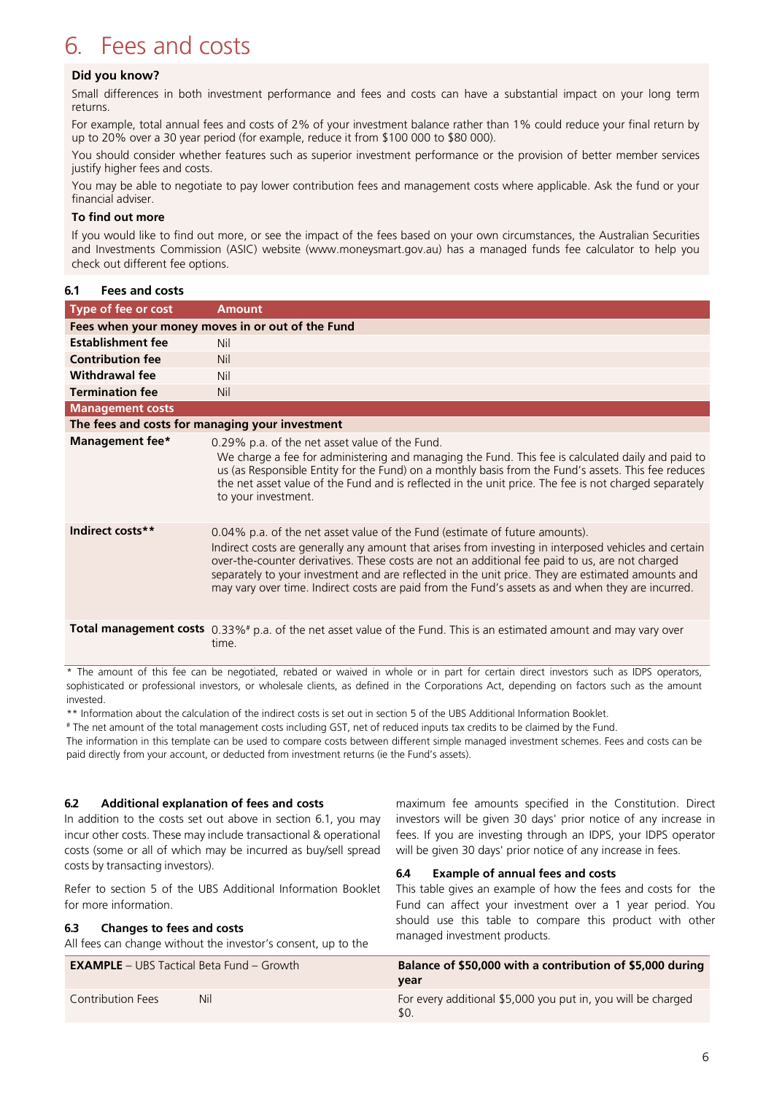## <span id="page-5-0"></span>6. Fees and costs

#### **Did you know?**

Small differences in both investment performance and fees and costs can have a substantial impact on your long term returns.

For example, total annual fees and costs of 2% of your investment balance rather than 1% could reduce your final return by up to 20% over a 30 year period (for example, reduce it from \$100 000 to \$80 000).

You should consider whether features such as superior investment performance or the provision of better member services justify higher fees and costs.

You may be able to negotiate to pay lower contribution fees and management costs where applicable. Ask the fund or your financial adviser.

#### **To find out more**

If you would like to find out more, or see the impact of the fees based on your own circumstances, the Australian Securities and Investments Commission (ASIC) website (www.moneysmart.gov.au) has a managed funds fee calculator to help you check out different fee options.

#### **6.1 Fees and costs**

| Type of fee or cost                              | <b>Amount</b>                                                                                                                                                                                                                                                                                                                                                                                                                                                                                     |  |
|--------------------------------------------------|---------------------------------------------------------------------------------------------------------------------------------------------------------------------------------------------------------------------------------------------------------------------------------------------------------------------------------------------------------------------------------------------------------------------------------------------------------------------------------------------------|--|
| Fees when your money moves in or out of the Fund |                                                                                                                                                                                                                                                                                                                                                                                                                                                                                                   |  |
| <b>Establishment fee</b>                         | Nil                                                                                                                                                                                                                                                                                                                                                                                                                                                                                               |  |
| <b>Contribution fee</b>                          | <b>Nil</b>                                                                                                                                                                                                                                                                                                                                                                                                                                                                                        |  |
| <b>Withdrawal fee</b>                            | Nil                                                                                                                                                                                                                                                                                                                                                                                                                                                                                               |  |
| <b>Termination fee</b>                           | <b>Nil</b>                                                                                                                                                                                                                                                                                                                                                                                                                                                                                        |  |
| <b>Management costs</b>                          |                                                                                                                                                                                                                                                                                                                                                                                                                                                                                                   |  |
| The fees and costs for managing your investment  |                                                                                                                                                                                                                                                                                                                                                                                                                                                                                                   |  |
| Management fee*                                  | 0.29% p.a. of the net asset value of the Fund.<br>We charge a fee for administering and managing the Fund. This fee is calculated daily and paid to<br>us (as Responsible Entity for the Fund) on a monthly basis from the Fund's assets. This fee reduces<br>the net asset value of the Fund and is reflected in the unit price. The fee is not charged separately<br>to your investment.                                                                                                        |  |
| Indirect costs**                                 | 0.04% p.a. of the net asset value of the Fund (estimate of future amounts).<br>Indirect costs are generally any amount that arises from investing in interposed vehicles and certain<br>over-the-counter derivatives. These costs are not an additional fee paid to us, are not charged<br>separately to your investment and are reflected in the unit price. They are estimated amounts and<br>may vary over time. Indirect costs are paid from the Fund's assets as and when they are incurred. |  |
|                                                  | <b>Total management costs</b> 0.33%# p.a. of the net asset value of the Fund. This is an estimated amount and may vary over<br>time.                                                                                                                                                                                                                                                                                                                                                              |  |

The amount of this fee can be negotiated, rebated or waived in whole or in part for certain direct investors such as IDPS operators, sophisticated or professional investors, or wholesale clients, as defined in the Corporations Act, depending on factors such as the amount invested.

\*\* Information about the calculation of the indirect costs is set out in section 5 of the UBS Additional Information Booklet.

# The net amount of the total management costs including GST, net of reduced inputs tax credits to be claimed by the Fund.

The information in this template can be used to compare costs between different simple managed investment schemes. Fees and costs can be paid directly from your account, or deducted from investment returns (ie the Fund's assets).

#### **6.2 Additional explanation of fees and costs**

In addition to the costs set out above in section 6.1, you may incur other costs. These may include transactional & operational costs (some or all of which may be incurred as buy/sell spread costs by transacting investors).

Refer to section 5 of the UBS Additional Information Booklet for more information.

#### **6.3 Changes to fees and costs**

All fees can change without the investor's consent, up to the

maximum fee amounts specified in the Constitution. Direct investors will be given 30 days' prior notice of any increase in fees. If you are investing through an IDPS, your IDPS operator will be given 30 days' prior notice of any increase in fees.

#### **6.4 Example of annual fees and costs**

This table gives an example of how the fees and costs for the Fund can affect your investment over a 1 year period. You should use this table to compare this product with other managed investment products.

| <b>EXAMPLE</b> – UBS Tactical Beta Fund – Growth |     | Balance of \$50,000 with a contribution of \$5,000 during           |
|--------------------------------------------------|-----|---------------------------------------------------------------------|
|                                                  |     | vear                                                                |
| Contribution Fees                                | Nil | For every additional \$5,000 you put in, you will be charged<br>SO. |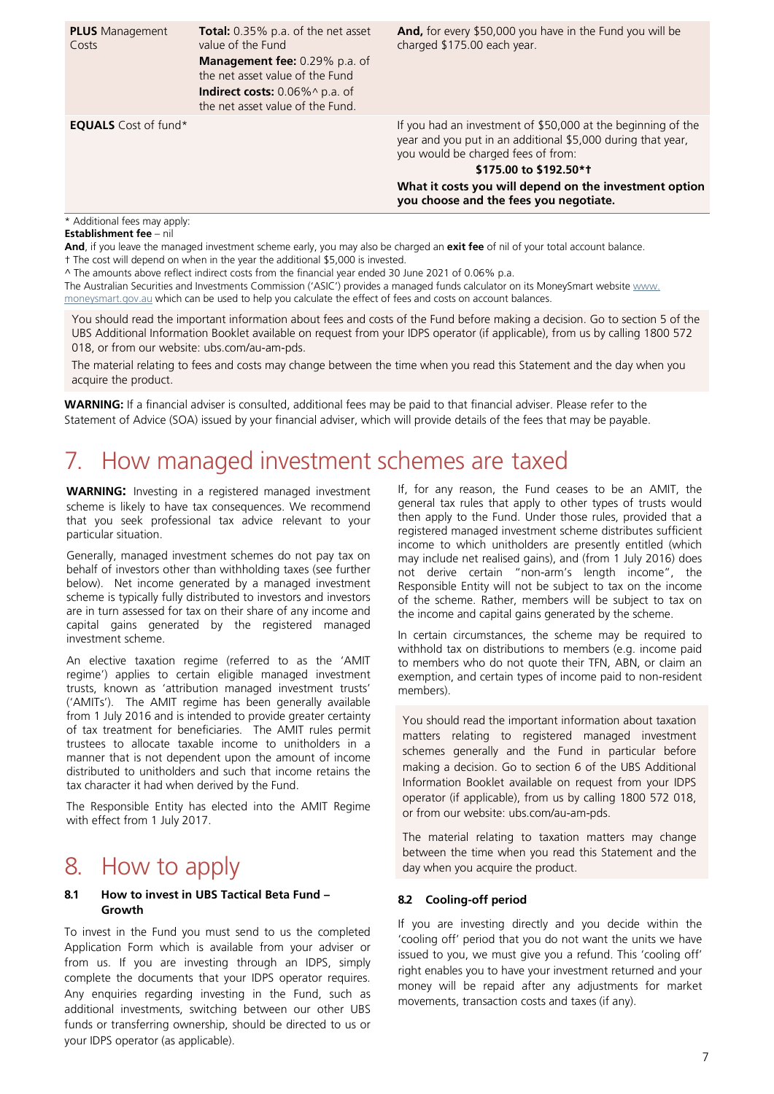| <b>PLUS</b> Management<br>Costs | <b>Total:</b> 0.35% p.a. of the net asset<br>value of the Fund<br><b>Management fee: 0.29% p.a. of</b><br>the net asset value of the Fund<br><b>Indirect costs:</b> 0.06%^ p.a. of<br>the net asset value of the Fund. | And, for every \$50,000 you have in the Fund you will be<br>charged \$175.00 each year.                                                                           |
|---------------------------------|------------------------------------------------------------------------------------------------------------------------------------------------------------------------------------------------------------------------|-------------------------------------------------------------------------------------------------------------------------------------------------------------------|
| <b>EQUALS</b> Cost of fund*     |                                                                                                                                                                                                                        | If you had an investment of \$50,000 at the beginning of the<br>year and you put in an additional \$5,000 during that year,<br>you would be charged fees of from: |
|                                 |                                                                                                                                                                                                                        | \$175,00 to \$192.50*1                                                                                                                                            |
|                                 |                                                                                                                                                                                                                        | What it costs you will depend on the investment option<br>you choose and the fees you negotiate.                                                                  |
| * Additional fees may apply:    |                                                                                                                                                                                                                        |                                                                                                                                                                   |

#### **Establishment fee** – nil

**And**, if you leave the managed investment scheme early, you may also be charged an **exit fee** of nil of your total account balance. † The cost will depend on when in the year the additional \$5,000 is invested.

^ The amounts above reflect indirect costs from the financial year ended 30 June 2021 of 0.06% p.a.

The Australian Securities and Investments Commission ('ASIC') provides a managed funds calculator on its MoneySmart website [www.](http://www.moneysmart.gov.au/) [moneysmart.gov.au](http://www.moneysmart.gov.au/) which can be used to help you calculate the effect of fees and costs on account balances.

You should read the important information about fees and costs of the Fund before making a decision. Go to section 5 of the UBS Additional Information Booklet available on request from your IDPS operator (if applicable), from us by calling 1800 572 018, or from our website: ubs.com/au-am-pds.

The material relating to fees and costs may change between the time when you read this Statement and the day when you acquire the product.

**WARNING:** If a financial adviser is consulted, additional fees may be paid to that financial adviser. Please refer to the Statement of Advice (SOA) issued by your financial adviser, which will provide details of the fees that may be payable.

### <span id="page-6-0"></span>7. How managed investment schemes are taxed

**WARNING:** Investing in a registered managed investment scheme is likely to have tax consequences. We recommend that you seek professional tax advice relevant to your particular situation.

Generally, managed investment schemes do not pay tax on behalf of investors other than withholding taxes (see further below). Net income generated by a managed investment scheme is typically fully distributed to investors and investors are in turn assessed for tax on their share of any income and capital gains generated by the registered managed investment scheme.

An elective taxation regime (referred to as the 'AMIT regime') applies to certain eligible managed investment trusts, known as 'attribution managed investment trusts' ('AMITs'). The AMIT regime has been generally available from 1 July 2016 and is intended to provide greater certainty of tax treatment for beneficiaries. The AMIT rules permit trustees to allocate taxable income to unitholders in a manner that is not dependent upon the amount of income distributed to unitholders and such that income retains the tax character it had when derived by the Fund.

The Responsible Entity has elected into the AMIT Regime with effect from 1 July 2017.

### <span id="page-6-1"></span>8. How to apply

#### **8.1 How to invest in UBS Tactical Beta Fund – Growth**

To invest in the Fund you must send to us the completed Application Form which is available from your adviser or from us. If you are investing through an IDPS, simply complete the documents that your IDPS operator requires. Any enquiries regarding investing in the Fund, such as additional investments, switching between our other UBS funds or transferring ownership, should be directed to us or your IDPS operator (as applicable).

If, for any reason, the Fund ceases to be an AMIT, the general tax rules that apply to other types of trusts would then apply to the Fund. Under those rules, provided that a registered managed investment scheme distributes sufficient income to which unitholders are presently entitled (which may include net realised gains), and (from 1 July 2016) does not derive certain "non-arm's length income", the Responsible Entity will not be subject to tax on the income of the scheme. Rather, members will be subject to tax on the income and capital gains generated by the scheme.

In certain circumstances, the scheme may be required to withhold tax on distributions to members (e.g. income paid to members who do not quote their TFN, ABN, or claim an exemption, and certain types of income paid to non-resident members).

You should read the important information about taxation matters relating to registered managed investment schemes generally and the Fund in particular before making a decision. Go to section 6 of the UBS Additional Information Booklet available on request from your IDPS operator (if applicable), from us by calling 1800 572 018, or from our website: ubs.com/au-am-pds.

The material relating to taxation matters may change between the time when you read this Statement and the day when you acquire the product.

#### **8.2 Cooling-off period**

If you are investing directly and you decide within the 'cooling off' period that you do not want the units we have issued to you, we must give you a refund. This 'cooling off' right enables you to have your investment returned and your money will be repaid after any adjustments for market movements, transaction costs and taxes (if any).